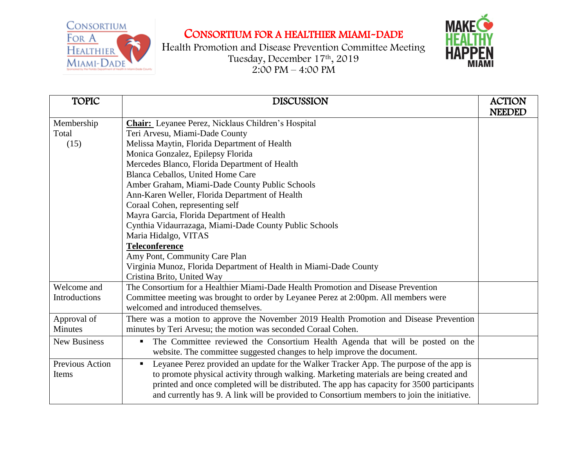CONSORTIUM FOR A **HEALTHIER** MIAMI-DADE

CONSORTIUM FOR A HEALTHIER MIAMI-DADE



Health Promotion and Disease Prevention Committee Meeting Tuesday, December 17th , 2019  $2:00 \text{ PM} - 4:00 \text{ PM}$ 

| <b>TOPIC</b>        | <b>DISCUSSION</b>                                                                                        | <b>ACTION</b><br><b>NEEDED</b> |
|---------------------|----------------------------------------------------------------------------------------------------------|--------------------------------|
| Membership          | <b>Chair:</b> Leyanee Perez, Nicklaus Children's Hospital                                                |                                |
| Total               | Teri Arvesu, Miami-Dade County                                                                           |                                |
| (15)                | Melissa Maytin, Florida Department of Health                                                             |                                |
|                     | Monica Gonzalez, Epilepsy Florida                                                                        |                                |
|                     | Mercedes Blanco, Florida Department of Health                                                            |                                |
|                     | Blanca Ceballos, United Home Care                                                                        |                                |
|                     | Amber Graham, Miami-Dade County Public Schools                                                           |                                |
|                     | Ann-Karen Weller, Florida Department of Health                                                           |                                |
|                     | Coraal Cohen, representing self                                                                          |                                |
|                     | Mayra Garcia, Florida Department of Health                                                               |                                |
|                     | Cynthia Vidaurrazaga, Miami-Dade County Public Schools                                                   |                                |
|                     | Maria Hidalgo, VITAS                                                                                     |                                |
|                     | <b>Teleconference</b>                                                                                    |                                |
|                     | Amy Pont, Community Care Plan                                                                            |                                |
|                     | Virginia Munoz, Florida Department of Health in Miami-Dade County                                        |                                |
|                     | Cristina Brito, United Way                                                                               |                                |
| Welcome and         | The Consortium for a Healthier Miami-Dade Health Promotion and Disease Prevention                        |                                |
| Introductions       | Committee meeting was brought to order by Leyanee Perez at 2:00pm. All members were                      |                                |
|                     | welcomed and introduced themselves.                                                                      |                                |
| Approval of         | There was a motion to approve the November 2019 Health Promotion and Disease Prevention                  |                                |
| <b>Minutes</b>      | minutes by Teri Arvesu; the motion was seconded Coraal Cohen.                                            |                                |
| <b>New Business</b> | The Committee reviewed the Consortium Health Agenda that will be posted on the<br>$\blacksquare$         |                                |
|                     | website. The committee suggested changes to help improve the document.                                   |                                |
| Previous Action     | Leyanee Perez provided an update for the Walker Tracker App. The purpose of the app is<br>$\blacksquare$ |                                |
| Items               | to promote physical activity through walking. Marketing materials are being created and                  |                                |
|                     | printed and once completed will be distributed. The app has capacity for 3500 participants               |                                |
|                     | and currently has 9. A link will be provided to Consortium members to join the initiative.               |                                |
|                     |                                                                                                          |                                |